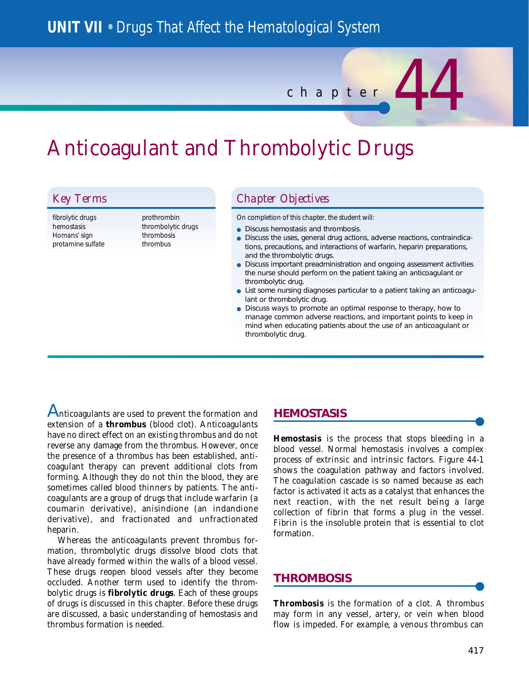# Anticoagulant and Thrombolytic Drugs

*fibrolytic drugs hemostasis Homans' sign protamine sulfate* *prothrombin thrombolytic drugs thrombosis thrombus*

## *Key Terms Chapter Objectives*

*On completion of this chapter, the student will:* 

- Discuss hemostasis and thrombosis.
- Discuss the uses, general drug actions, adverse reactions, contraindications, precautions, and interactions of warfarin, heparin preparations, and the thrombolytic drugs.

 $c$  *h* a *p* t e r

- Discuss important preadministration and ongoing assessment activities the nurse should perform on the patient taking an anticoagulant or thrombolytic drug.
- List some nursing diagnoses particular to a patient taking an anticoagulant or thrombolytic drug.
- Discuss ways to promote an optimal response to therapy, how to manage common adverse reactions, and important points to keep in mind when educating patients about the use of an anticoagulant or thrombolytic drug.

Anticoagulants are used to prevent the formation and extension of a **thrombus** (blood clot). Anticoagulants have no direct effect on an existing thrombus and do not reverse any damage from the thrombus. However, once the presence of a thrombus has been established, anticoagulant therapy can prevent additional clots from forming. Although they do not thin the blood, they are sometimes called blood thinners by patients. The anticoagulants are a group of drugs that include warfarin (a coumarin derivative), anisindione (an indandione derivative), and fractionated and unfractionated heparin.

Whereas the anticoagulants prevent thrombus formation, thrombolytic drugs dissolve blood clots that have already formed within the walls of a blood vessel. These drugs reopen blood vessels after they become occluded. Another term used to identify the thrombolytic drugs is **fibrolytic drugs**. Each of these groups of drugs is discussed in this chapter. Before these drugs are discussed, a basic understanding of hemostasis and thrombus formation is needed.

## **HEMOSTASIS**

**Hemostasis** is the process that stops bleeding in a blood vessel. Normal hemostasis involves a complex process of extrinsic and intrinsic factors. Figure 44-1 shows the coagulation pathway and factors involved. The coagulation cascade is so named because as each factor is activated it acts as a catalyst that enhances the next reaction, with the net result being a large collection of fibrin that forms a plug in the vessel. Fibrin is the insoluble protein that is essential to clot formation.

## **THROMBOSIS** ●

**Thrombosis** is the formation of a clot. A thrombus may form in any vessel, artery, or vein when blood flow is impeded. For example, a venous thrombus can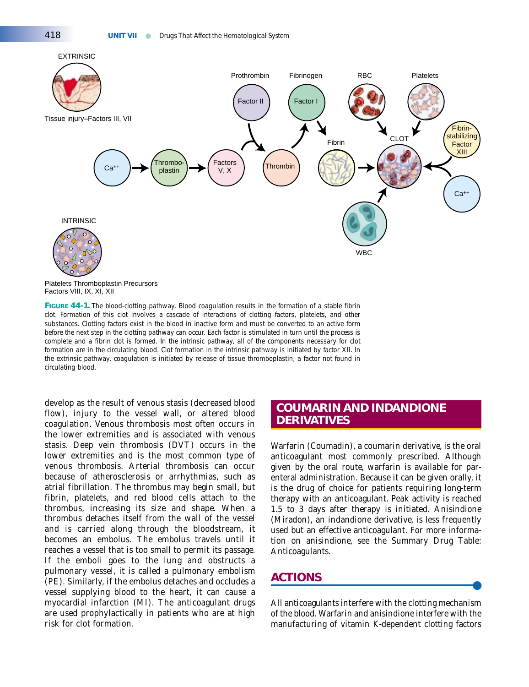

Platelets Thromboplastin Precursors Factors VIII, IX, XI, XII

**FIGURE 44-1.** The blood-clotting pathway. Blood coagulation results in the formation of a stable fibrin clot. Formation of this clot involves a cascade of interactions of clotting factors, platelets, and other substances. Clotting factors exist in the blood in inactive form and must be converted to an active form before the next step in the clotting pathway can occur. Each factor is stimulated in turn until the process is complete and a fibrin clot is formed. In the intrinsic pathway, all of the components necessary for clot formation are in the circulating blood. Clot formation in the intrinsic pathway is initiated by factor XII. In the extrinsic pathway, coagulation is initiated by release of tissue thromboplastin, a factor not found in circulating blood.

develop as the result of venous stasis (decreased blood flow), injury to the vessel wall, or altered blood coagulation. Venous thrombosis most often occurs in the lower extremities and is associated with venous stasis. Deep vein thrombosis (DVT) occurs in the lower extremities and is the most common type of venous thrombosis. Arterial thrombosis can occur because of atherosclerosis or arrhythmias, such as atrial fibrillation. The thrombus may begin small, but fibrin, platelets, and red blood cells attach to the thrombus, increasing its size and shape. When a thrombus detaches itself from the wall of the vessel and is carried along through the bloodstream, it becomes an embolus. The embolus travels until it reaches a vessel that is too small to permit its passage. If the emboli goes to the lung and obstructs a pulmonary vessel, it is called a pulmonary embolism (PE). Similarly, if the embolus detaches and occludes a vessel supplying blood to the heart, it can cause a myocardial infarction (MI). The anticoagulant drugs are used prophylactically in patients who are at high risk for clot formation.

## **COUMARIN AND INDANDIONE DERIVATIVES**

Warfarin (Coumadin), a coumarin derivative, is the oral anticoagulant most commonly prescribed. Although given by the oral route, warfarin is available for parenteral administration. Because it can be given orally, it is the drug of choice for patients requiring long-term therapy with an anticoagulant. Peak activity is reached 1.5 to 3 days after therapy is initiated. Anisindione (Miradon), an indandione derivative, is less frequently used but an effective anticoagulant. For more information on anisindione, see the Summary Drug Table: Anticoagulants.

## **ACTIONS** ●

All anticoagulants interfere with the clotting mechanism of the blood. Warfarin and anisindione interfere with the manufacturing of vitamin K-dependent clotting factors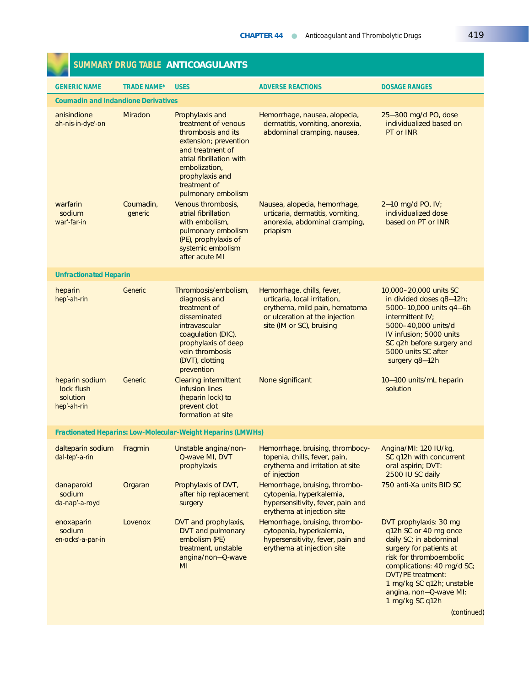## **SUMMARY DRUG TABLE ANTICOAGULANTS**

| <b>GENERIC NAME</b>                                     | <b>TRADE NAME*</b>   | <b>USES</b>                                                                                                                                                                                                     | <b>ADVERSE REACTIONS</b>                                                                                                                                   | <b>DOSAGE RANGES</b>                                                                                                                                                                                                                                                               |  |
|---------------------------------------------------------|----------------------|-----------------------------------------------------------------------------------------------------------------------------------------------------------------------------------------------------------------|------------------------------------------------------------------------------------------------------------------------------------------------------------|------------------------------------------------------------------------------------------------------------------------------------------------------------------------------------------------------------------------------------------------------------------------------------|--|
| <b>Coumadin and Indandione Derivatives</b>              |                      |                                                                                                                                                                                                                 |                                                                                                                                                            |                                                                                                                                                                                                                                                                                    |  |
| anisindione<br>ah-nis-in-dye'-on                        | <b>Miradon</b>       | Prophylaxis and<br>treatment of venous<br>thrombosis and its<br>extension; prevention<br>and treatment of<br>atrial fibrillation with<br>embolization,<br>prophylaxis and<br>treatment of<br>pulmonary embolism | Hemorrhage, nausea, alopecia,<br>dermatitis, vomiting, anorexia,<br>abdominal cramping, nausea,                                                            | 25-300 mg/d PO, dose<br>individualized based on<br>PT or INR                                                                                                                                                                                                                       |  |
| warfarin<br>sodium<br>war'-far-in                       | Coumadin,<br>generic | Venous thrombosis,<br>atrial fibrillation<br>with embolism,<br>pulmonary embolism<br>(PE), prophylaxis of<br>systemic embolism<br>after acute MI                                                                | Nausea, alopecia, hemorrhage,<br>urticaria, dermatitis, vomiting,<br>anorexia, abdominal cramping,<br>priapism                                             | $2-10$ mg/d PO, IV;<br>individualized dose<br>based on PT or INR                                                                                                                                                                                                                   |  |
| <b>Unfractionated Heparin</b>                           |                      |                                                                                                                                                                                                                 |                                                                                                                                                            |                                                                                                                                                                                                                                                                                    |  |
| heparin<br>hep'-ah-rin                                  | Generic              | Thrombosis/embolism,<br>diagnosis and<br>treatment of<br>disseminated<br>intravascular<br>coagulation (DIC),<br>prophylaxis of deep<br>vein thrombosis<br>(DVT), clotting<br>prevention                         | Hemorrhage, chills, fever,<br>urticaria, local irritation,<br>erythema, mild pain, hematoma<br>or ulceration at the injection<br>site (IM or SC), bruising | 10,000-20,000 units SC<br>in divided doses q8-12h;<br>5000-10,000 units q4-6h<br>intermittent IV;<br>5000-40,000 units/d<br>IV infusion; 5000 units<br>SC q2h before surgery and<br>5000 units SC after<br>surgery q8-12h                                                          |  |
| heparin sodium<br>lock flush<br>solution<br>hep'-ah-rin | Generic              | <b>Clearing intermittent</b><br>infusion lines<br>(heparin lock) to<br>prevent clot<br>formation at site                                                                                                        | None significant                                                                                                                                           | 10-100 units/mL heparin<br>solution                                                                                                                                                                                                                                                |  |
|                                                         |                      | <b>Fractionated Heparins: Low-Molecular-Weight Heparins (LMWHs)</b>                                                                                                                                             |                                                                                                                                                            |                                                                                                                                                                                                                                                                                    |  |
| dalteparin sodium<br>dal-tep'-a-rin                     | Fragmin              | Unstable angina/non-<br>Q-wave MI, DVT<br>prophylaxis                                                                                                                                                           | Hemorrhage, bruising, thrombocy-<br>topenia, chills, fever, pain,<br>erythema and irritation at site<br>of injection                                       | Angina/MI: 120 IU/kg,<br>SC q12h with concurrent<br>oral aspirin; DVT:<br>2500 IU SC daily                                                                                                                                                                                         |  |
| danaparoid<br>sodium<br>da-nap'-a-royd                  | Orgaran              | Prophylaxis of DVT,<br>after hip replacement<br>surgery                                                                                                                                                         | Hemorrhage, bruising, thrombo-<br>cytopenia, hyperkalemia,<br>hypersensitivity, fever, pain and<br>erythema at injection site                              | 750 anti-Xa units BID SC                                                                                                                                                                                                                                                           |  |
| enoxaparin<br>sodium<br>en-ocks'-a-par-in               | Lovenox              | DVT and prophylaxis,<br><b>DVT</b> and pulmonary<br>embolism (PE)<br>treatment, unstable<br>angina/non-Q-wave<br>MI                                                                                             | Hemorrhage, bruising, thrombo-<br>cytopenia, hyperkalemia,<br>hypersensitivity, fever, pain and<br>erythema at injection site                              | DVT prophylaxis: 30 mg<br>q12h SC or 40 mg once<br>daily SC; in abdominal<br>surgery for patients at<br>risk for thromboembolic<br>complications: 40 mg/d SC;<br><b>DVT/PE</b> treatment:<br>1 mg/kg SC q12h; unstable<br>angina, non-Q-wave MI:<br>1 mg/kg SC q12h<br>(continued) |  |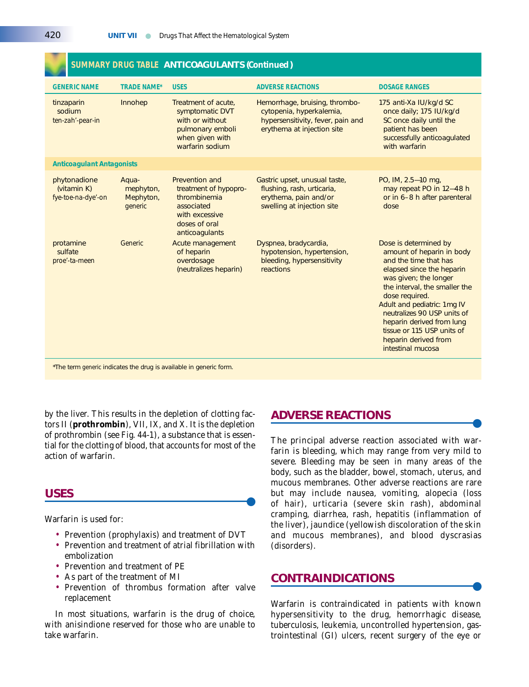| <b>SUMMARY DRUG TABLE ANTICOAGULANTS (Continued)</b>               |                                            |                                                                                                                            |                                                                                                                               |                                                                                                                                                                                                                                                                                                                                                            |
|--------------------------------------------------------------------|--------------------------------------------|----------------------------------------------------------------------------------------------------------------------------|-------------------------------------------------------------------------------------------------------------------------------|------------------------------------------------------------------------------------------------------------------------------------------------------------------------------------------------------------------------------------------------------------------------------------------------------------------------------------------------------------|
| <b>GENERIC NAME</b>                                                | <b>TRADE NAME*</b>                         | <b>USES</b>                                                                                                                | <b>ADVERSE REACTIONS</b>                                                                                                      | <b>DOSAGE RANGES</b>                                                                                                                                                                                                                                                                                                                                       |
| tinzaparin<br>sodium<br>ten-zah'-pear-in                           | Innohep                                    | Treatment of acute,<br>symptomatic DVT<br>with or without<br>pulmonary emboli<br>when given with<br>warfarin sodium        | Hemorrhage, bruising, thrombo-<br>cytopenia, hyperkalemia,<br>hypersensitivity, fever, pain and<br>erythema at injection site | 175 anti-Xa IU/kg/d SC<br>once daily; 175 IU/kg/d<br>SC once daily until the<br>patient has been<br>successfully anticoagulated<br>with warfarin                                                                                                                                                                                                           |
| <b>Anticoagulant Antagonists</b>                                   |                                            |                                                                                                                            |                                                                                                                               |                                                                                                                                                                                                                                                                                                                                                            |
| phytonadione<br>(vitamin K)<br>fye-toe-na-dye'-on                  | Aqua-<br>mephyton,<br>Mephyton,<br>generic | Prevention and<br>treatment of hypopro-<br>thrombinemia<br>associated<br>with excessive<br>doses of oral<br>anticoagulants | Gastric upset, unusual taste,<br>flushing, rash, urticaria,<br>erythema, pain and/or<br>swelling at injection site            | PO, IM, 2.5-10 mg,<br>may repeat PO in 12-48 h<br>or in 6-8 h after parenteral<br>dose                                                                                                                                                                                                                                                                     |
| protamine<br>sulfate<br>proe'-ta-meen                              | Generic                                    | Acute management<br>of heparin<br>overdosage<br>(neutralizes heparin)                                                      | Dyspnea, bradycardia,<br>hypotension, hypertension,<br>bleeding, hypersensitivity<br>reactions                                | Dose is determined by<br>amount of heparin in body<br>and the time that has<br>elapsed since the heparin<br>was given; the longer<br>the interval, the smaller the<br>dose required.<br>Adult and pediatric: 1mg IV<br>neutralizes 90 USP units of<br>heparin derived from lung<br>tissue or 115 USP units of<br>heparin derived from<br>intestinal mucosa |
| *The term generic indicates the drug is available in generic form. |                                            |                                                                                                                            |                                                                                                                               |                                                                                                                                                                                                                                                                                                                                                            |

by the liver. This results in the depletion of clotting factors II (**prothrombin**), VII, IX, and X. It is the depletion of prothrombin (see Fig. 44-1), a substance that is essential for the clotting of blood, that accounts for most of the action of warfarin.

## **USES** ●

Warfarin is used for:

- Prevention (prophylaxis) and treatment of DVT
- Prevention and treatment of atrial fibrillation with embolization
- Prevention and treatment of PE
- As part of the treatment of MI
- Prevention of thrombus formation after valve replacement

In most situations, warfarin is the drug of choice, with anisindione reserved for those who are unable to take warfarin.

## **ADVERSE REACTIONS**

The principal adverse reaction associated with warfarin is bleeding, which may range from very mild to severe. Bleeding may be seen in many areas of the body, such as the bladder, bowel, stomach, uterus, and mucous membranes. Other adverse reactions are rare but may include nausea, vomiting, alopecia (loss of hair), urticaria (severe skin rash), abdominal cramping, diarrhea, rash, hepatitis (inflammation of the liver), jaundice (yellowish discoloration of the skin and mucous membranes), and blood dyscrasias (disorders).

## **CONTRAINDICATIONS** ●

Warfarin is contraindicated in patients with known hypersensitivity to the drug, hemorrhagic disease, tuberculosis, leukemia, uncontrolled hypertension, gastrointestinal (GI) ulcers, recent surgery of the eye or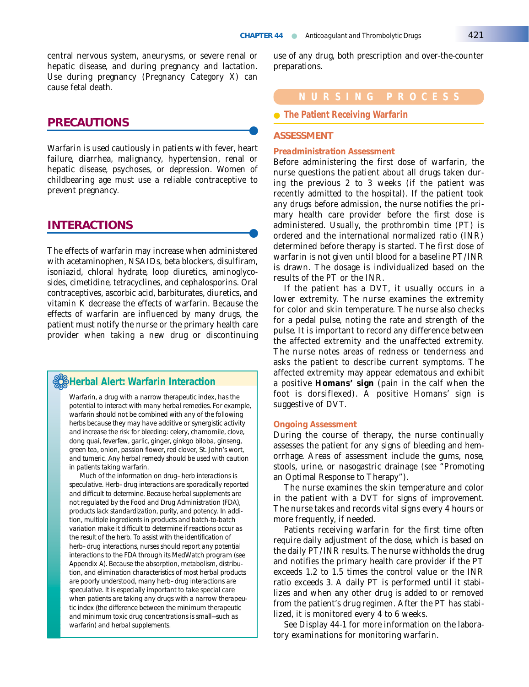central nervous system, aneurysms, or severe renal or hepatic disease, and during pregnancy and lactation. Use during pregnancy (Pregnancy Category X) can cause fetal death.

## **PRECAUTIONS**

Warfarin is used cautiously in patients with fever, heart failure, diarrhea, malignancy, hypertension, renal or hepatic disease, psychoses, or depression. Women of childbearing age must use a reliable contraceptive to prevent pregnancy.

## **INTERACTIONS**

The effects of warfarin may increase when administered with acetaminophen, NSAIDs, beta blockers, disulfiram, isoniazid, chloral hydrate, loop diuretics, aminoglycosides, cimetidine, tetracyclines, and cephalosporins. Oral contraceptives, ascorbic acid, barbiturates, diuretics, and vitamin K decrease the effects of warfarin. Because the effects of warfarin are influenced by many drugs, the patient must notify the nurse or the primary health care provider when taking a new drug or discontinuing

## ❁**Herbal Alert: Warfarin Interaction**

*Warfarin, a drug with a narrow therapeutic index, has the potential to interact with many herbal remedies. For example, warfarin should not be combined with any of the following herbs because they may have additive or synergistic activity and increase the risk for bleeding: celery, chamomile, clove, dong quai, feverfew, garlic, ginger, ginkgo biloba, ginseng, green tea, onion, passion flower, red clover, St. John's wort, and tumeric. Any herbal remedy should be used with caution in patients taking warfarin.*

*Much of the information on drug–herb interactions is speculative. Herb–drug interactions are sporadically reported and difficult to determine. Because herbal supplements are not regulated by the Food and Drug Administration (FDA), products lack standardization, purity, and potency. In addition, multiple ingredients in products and batch-to-batch variation make it difficult to determine if reactions occur as the result of the herb. To assist with the identification of herb–drug interactions, nurses should report any potential interactions to the FDA through its MedWatch program (see Appendix A). Because the absorption, metabolism, distribution, and elimination characteristics of most herbal products are poorly understood, many herb–drug interactions are speculative. It is especially important to take special care when patients are taking any drugs with a narrow therapeutic index (the difference between the minimum therapeutic and minimum toxic drug concentrations is small—such as warfarin) and herbal supplements.*

use of any drug, both prescription and over-the-counter preparations.

## **NURSING PROCESS**

#### ● **The Patient Receiving Warfarin**

#### **ASSESSMENT**

#### *Preadministration Assessment*

Before administering the first dose of warfarin, the nurse questions the patient about all drugs taken during the previous 2 to 3 weeks (if the patient was recently admitted to the hospital). If the patient took any drugs before admission, the nurse notifies the primary health care provider before the first dose is administered. Usually, the prothrombin time (PT) is ordered and the international normalized ratio (INR) determined before therapy is started. The first dose of warfarin is not given until blood for a baseline PT/INR is drawn. The dosage is individualized based on the results of the PT or the INR.

If the patient has a DVT, it usually occurs in a lower extremity. The nurse examines the extremity for color and skin temperature. The nurse also checks for a pedal pulse, noting the rate and strength of the pulse. It is important to record any difference between the affected extremity and the unaffected extremity. The nurse notes areas of redness or tenderness and asks the patient to describe current symptoms. The affected extremity may appear edematous and exhibit a positive **Homans' sign** (pain in the calf when the foot is dorsiflexed). A positive Homans' sign is suggestive of DVT.

#### *Ongoing Assessment*

During the course of therapy, the nurse continually assesses the patient for any signs of bleeding and hemorrhage. Areas of assessment include the gums, nose, stools, urine, or nasogastric drainage (see "Promoting an Optimal Response to Therapy").

The nurse examines the skin temperature and color in the patient with a DVT for signs of improvement. The nurse takes and records vital signs every 4 hours or more frequently, if needed.

Patients receiving warfarin for the first time often require daily adjustment of the dose, which is based on the daily PT/INR results. The nurse withholds the drug and notifies the primary health care provider if the PT exceeds 1.2 to 1.5 times the control value or the INR ratio exceeds 3. A daily PT is performed until it stabilizes and when any other drug is added to or removed from the patient's drug regimen. After the PT has stabilized, it is monitored every 4 to 6 weeks.

See Display 44-1 for more information on the laboratory examinations for monitoring warfarin.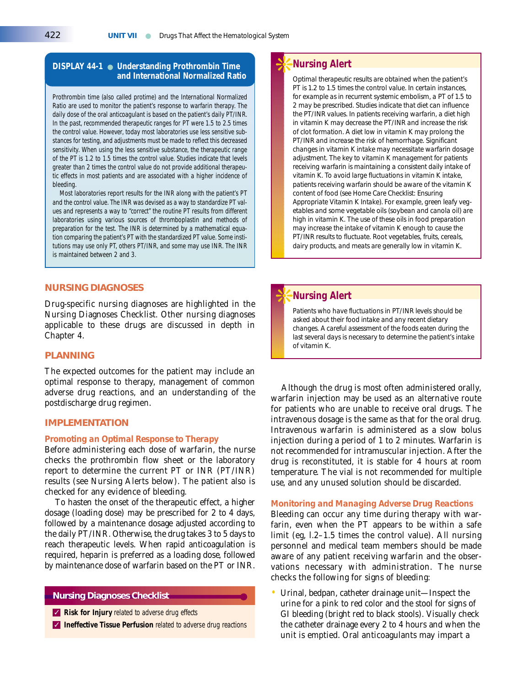#### **DISPLAY 44-1** ● **Understanding Prothrombin Time and International Normalized Ratio**

Prothrombin time (also called protime) and the International Normalized Ratio are used to monitor the patient's response to warfarin therapy. The daily dose of the oral anticoagulant is based on the patient's daily PT/INR. In the past, recommended therapeutic ranges for PT were 1.5 to 2.5 times the control value. However, today most laboratories use less sensitive substances for testing, and adjustments must be made to reflect this decreased sensitivity. When using the less sensitive substance, the therapeutic range of the PT is 1.2 to 1.5 times the control value. Studies indicate that levels greater than 2 times the control value do not provide additional therapeutic effects in most patients and are associated with a higher incidence of bleeding.

Most laboratories report results for the INR along with the patient's PT and the control value. The INR was devised as a way to standardize PT values and represents a way to "correct" the routine PT results from different laboratories using various sources of thromboplastin and methods of preparation for the test. The INR is determined by a mathematical equation comparing the patient's PT with the standardized PT value. Some institutions may use only PT, others PT/INR, and some may use INR. The INR is maintained between 2 and 3.

#### **NURSING DIAGNOSES**

Drug-specific nursing diagnoses are highlighted in the Nursing Diagnoses Checklist. Other nursing diagnoses applicable to these drugs are discussed in depth in Chapter 4.

#### **PLANNING**

The expected outcomes for the patient may include an optimal response to therapy, management of common adverse drug reactions, and an understanding of the postdischarge drug regimen.

#### **IMPLEMENTATION**

#### *Promoting an Optimal Response to Therapy*

Before administering each dose of warfarin, the nurse checks the prothrombin flow sheet or the laboratory report to determine the current PT or INR (PT/INR) results (see Nursing Alerts below). The patient also is checked for any evidence of bleeding.

To hasten the onset of the therapeutic effect, a higher dosage (loading dose) may be prescribed for 2 to 4 days, followed by a maintenance dosage adjusted according to the daily PT/INR. Otherwise, the drug takes 3 to 5 days to reach therapeutic levels. When rapid anticoagulation is required, heparin is preferred as a loading dose, followed by maintenance dose of warfarin based on the PT or INR.

## **Nursing Diagnoses Checklist**

- ✓ **Risk for Injury** related to adverse drug effects
- ✓ **Ineffective Tissue Perfusion** related to adverse drug reactions

## ❊**Nursing Alert**

*Optimal therapeutic results are obtained when the patient's PT is 1.2 to 1.5 times the control value. In certain instances, for example as in recurrent systemic embolism, a PT of 1.5 to 2 may be prescribed. Studies indicate that diet can influence the PT/INR values. In patients receiving warfarin, a diet high in vitamin K may decrease the PT/INR and increase the risk of clot formation. A diet low in vitamin K may prolong the PT/INR and increase the risk of hemorrhage. Significant changes in vitamin K intake may necessitate warfarin dosage adjustment. The key to vitamin K management for patients receiving warfarin is maintaining a consistent daily intake of vitamin K. To avoid large fluctuations in vitamin K intake, patients receiving warfarin should be aware of the vitamin K content of food (see Home Care Checklist: Ensuring Appropriate Vitamin K Intake). For example, green leafy vegetables and some vegetable oils (soybean and canola oil) are high in vitamin K. The use of these oils in food preparation may increase the intake of vitamin K enough to cause the PT/INR results to fluctuate. Root vegetables, fruits, cereals, dairy products, and meats are generally low in vitamin K.*

### ❊**Nursing Alert**

*Patients who have fluctuations in PT/INR levels should be asked about their food intake and any recent dietary changes. A careful assessment of the foods eaten during the last several days is necessary to determine the patient's intake of vitamin K.*

Although the drug is most often administered orally, warfarin injection may be used as an alternative route for patients who are unable to receive oral drugs. The intravenous dosage is the same as that for the oral drug. Intravenous warfarin is administered as a slow bolus injection during a period of 1 to 2 minutes. Warfarin is not recommended for intramuscular injection. After the drug is reconstituted, it is stable for 4 hours at room temperature. The vial is not recommended for multiple use, and any unused solution should be discarded.

#### *Monitoring and Managing Adverse Drug Reactions*

Bleeding can occur any time during therapy with warfarin, even when the PT appears to be within a safe limit (eg, l.2–1.5 times the control value). All nursing personnel and medical team members should be made aware of any patient receiving warfarin and the observations necessary with administration. The nurse checks the following for signs of bleeding:

• Urinal, bedpan, catheter drainage unit—Inspect the urine for a pink to red color and the stool for signs of GI bleeding (bright red to black stools). Visually check the catheter drainage every 2 to 4 hours and when the unit is emptied. Oral anticoagulants may impart a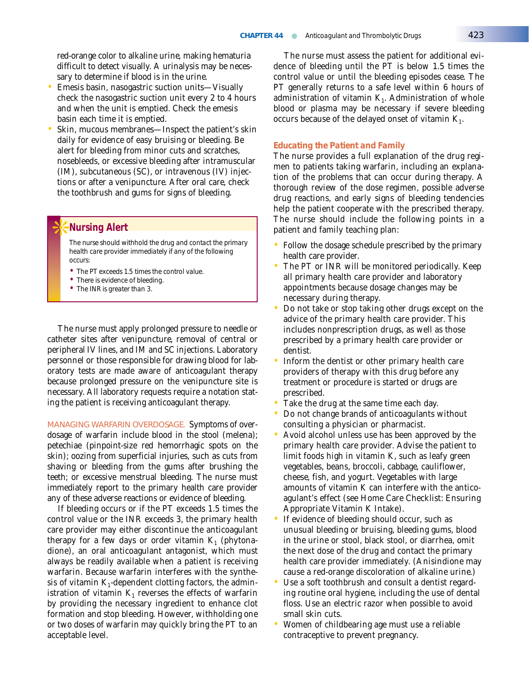red-orange color to alkaline urine, making hematuria difficult to detect visually. A urinalysis may be necessary to determine if blood is in the urine.

- Emesis basin, nasogastric suction units—Visually check the nasogastric suction unit every 2 to 4 hours and when the unit is emptied. Check the emesis basin each time it is emptied.
- Skin, mucous membranes—Inspect the patient's skin daily for evidence of easy bruising or bleeding. Be alert for bleeding from minor cuts and scratches, nosebleeds, or excessive bleeding after intramuscular (IM), subcutaneous (SC), or intravenous (IV) injections or after a venipuncture. After oral care, check the toothbrush and gums for signs of bleeding.

#### ❊**Nursing Alert**

*The nurse should withhold the drug and contact the primary health care provider immediately if any of the following occurs:*

- *The PT exceeds 1.5 times the control value.*
- *There is evidence of bleeding.*
- *The INR is greater than 3.*

The nurse must apply prolonged pressure to needle or catheter sites after venipuncture, removal of central or peripheral IV lines, and IM and SC injections. Laboratory personnel or those responsible for drawing blood for laboratory tests are made aware of anticoagulant therapy because prolonged pressure on the venipuncture site is necessary. All laboratory requests require a notation stating the patient is receiving anticoagulant therapy.

MANAGING WARFARIN OVERDOSAGE. Symptoms of overdosage of warfarin include blood in the stool (melena); petechiae (pinpoint-size red hemorrhagic spots on the skin); oozing from superficial injuries, such as cuts from shaving or bleeding from the gums after brushing the teeth; or excessive menstrual bleeding. The nurse must immediately report to the primary health care provider any of these adverse reactions or evidence of bleeding.

If bleeding occurs or if the PT exceeds 1.5 times the control value or the INR exceeds 3, the primary health care provider may either discontinue the anticoagulant therapy for a few days or order vitamin  $K_1$  (phytonadione), an oral anticoagulant antagonist, which must always be readily available when a patient is receiving warfarin. Because warfarin interferes with the synthesis of vitamin  $K_1$ -dependent clotting factors, the administration of vitamin  $K_1$  reverses the effects of warfarin by providing the necessary ingredient to enhance clot formation and stop bleeding. However, withholding one or two doses of warfarin may quickly bring the PT to an acceptable level.

The nurse must assess the patient for additional evidence of bleeding until the PT is below 1.5 times the control value or until the bleeding episodes cease. The PT generally returns to a safe level within 6 hours of administration of vitamin  $K<sub>1</sub>$ . Administration of whole blood or plasma may be necessary if severe bleeding occurs because of the delayed onset of vitamin  $K<sub>1</sub>$ .

#### *Educating the Patient and Family*

The nurse provides a full explanation of the drug regimen to patients taking warfarin, including an explanation of the problems that can occur during therapy. A thorough review of the dose regimen, possible adverse drug reactions, and early signs of bleeding tendencies help the patient cooperate with the prescribed therapy. The nurse should include the following points in a patient and family teaching plan:

- Follow the dosage schedule prescribed by the primary health care provider.
- The PT or INR will be monitored periodically. Keep all primary health care provider and laboratory appointments because dosage changes may be necessary during therapy.
- Do not take or stop taking other drugs except on the advice of the primary health care provider. This includes nonprescription drugs, as well as those prescribed by a primary health care provider or dentist.
- Inform the dentist or other primary health care providers of therapy with this drug before any treatment or procedure is started or drugs are prescribed.
- Take the drug at the same time each day.
- Do not change brands of anticoagulants without consulting a physician or pharmacist.
- Avoid alcohol unless use has been approved by the primary health care provider. Advise the patient to limit foods high in vitamin K, such as leafy green vegetables, beans, broccoli, cabbage, cauliflower, cheese, fish, and yogurt. Vegetables with large amounts of vitamin K can interfere with the anticoagulant's effect (see Home Care Checklist: Ensuring Appropriate Vitamin K Intake).
- If evidence of bleeding should occur, such as unusual bleeding or bruising, bleeding gums, blood in the urine or stool, black stool, or diarrhea, omit the next dose of the drug and contact the primary health care provider immediately. (Anisindione may cause a red-orange discoloration of alkaline urine.)
- Use a soft toothbrush and consult a dentist regarding routine oral hygiene, including the use of dental floss. Use an electric razor when possible to avoid small skin cuts.
- Women of childbearing age must use a reliable contraceptive to prevent pregnancy.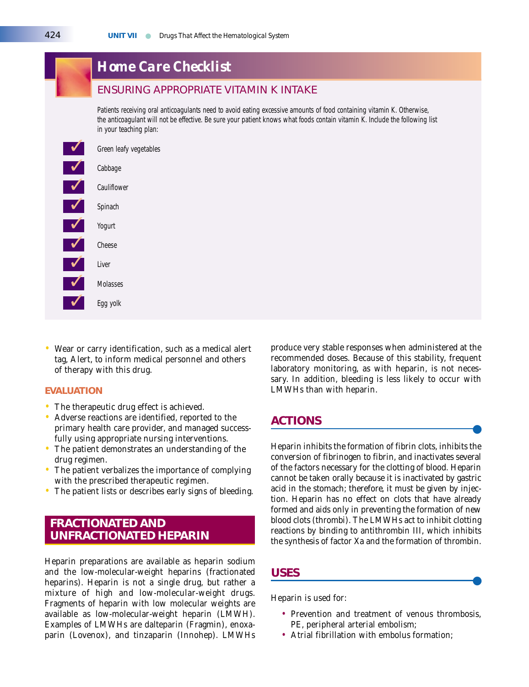

• Wear or carry identification, such as a medical alert tag, Alert, to inform medical personnel and others of therapy with this drug.

#### **EVALUATION**

- The therapeutic drug effect is achieved.
- Adverse reactions are identified, reported to the primary health care provider, and managed successfully using appropriate nursing interventions.
- The patient demonstrates an understanding of the drug regimen.
- The patient verbalizes the importance of complying with the prescribed therapeutic regimen.
- The patient lists or describes early signs of bleeding.

## **FRACTIONATED AND UNFRACTIONATED HEPARIN**

Heparin preparations are available as heparin sodium and the low-molecular-weight heparins (fractionated heparins). Heparin is not a single drug, but rather a mixture of high and low-molecular-weight drugs. Fragments of heparin with low molecular weights are available as low-molecular-weight heparin (LMWH). Examples of LMWHs are dalteparin (Fragmin), enoxaparin (Lovenox), and tinzaparin (Innohep). LMWHs

produce very stable responses when administered at the recommended doses. Because of this stability, frequent laboratory monitoring, as with heparin, is not necessary. In addition, bleeding is less likely to occur with LMWHs than with heparin.

## **ACTIONS** ●

Heparin inhibits the formation of fibrin clots, inhibits the conversion of fibrinogen to fibrin, and inactivates several of the factors necessary for the clotting of blood. Heparin cannot be taken orally because it is inactivated by gastric acid in the stomach; therefore, it must be given by injection. Heparin has no effect on clots that have already formed and aids only in preventing the formation of new blood clots (thrombi). The LMWHs act to inhibit clotting reactions by binding to antithrombin III, which inhibits the synthesis of factor Xa and the formation of thrombin.

# —————————————<del>—————</del>

Heparin is used for:

- Prevention and treatment of venous thrombosis, PE, peripheral arterial embolism;
- Atrial fibrillation with embolus formation;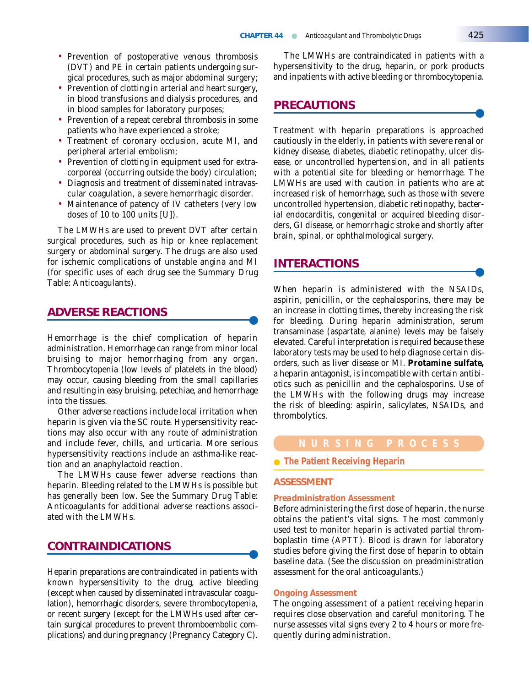- Prevention of postoperative venous thrombosis (DVT) and PE in certain patients undergoing surgical procedures, such as major abdominal surgery;
- Prevention of clotting in arterial and heart surgery, in blood transfusions and dialysis procedures, and in blood samples for laboratory purposes;
- Prevention of a repeat cerebral thrombosis in some patients who have experienced a stroke;
- Treatment of coronary occlusion, acute MI, and peripheral arterial embolism;
- Prevention of clotting in equipment used for extracorporeal (occurring outside the body) circulation;
- Diagnosis and treatment of disseminated intravascular coagulation, a severe hemorrhagic disorder.
- Maintenance of patency of IV catheters (very low doses of 10 to 100 units [U]).

The LMWHs are used to prevent DVT after certain surgical procedures, such as hip or knee replacement surgery or abdominal surgery. The drugs are also used for ischemic complications of unstable angina and MI (for specific uses of each drug see the Summary Drug Table: Anticoagulants).

## **ADVERSE REACTIONS** ●

Hemorrhage is the chief complication of heparin administration. Hemorrhage can range from minor local bruising to major hemorrhaging from any organ. Thrombocytopenia (low levels of platelets in the blood) may occur, causing bleeding from the small capillaries and resulting in easy bruising, petechiae, and hemorrhage into the tissues.

Other adverse reactions include local irritation when heparin is given via the SC route. Hypersensitivity reactions may also occur with any route of administration and include fever, chills, and urticaria. More serious hypersensitivity reactions include an asthma-like reaction and an anaphylactoid reaction.

The LMWHs cause fewer adverse reactions than heparin. Bleeding related to the LMWHs is possible but has generally been low. See the Summary Drug Table: Anticoagulants for additional adverse reactions associated with the LMWHs.

## **CONTRAINDICATIONS** ●

Heparin preparations are contraindicated in patients with known hypersensitivity to the drug, active bleeding (except when caused by disseminated intravascular coagulation), hemorrhagic disorders, severe thrombocytopenia, or recent surgery (except for the LMWHs used after certain surgical procedures to prevent thromboembolic complications) and during pregnancy (Pregnancy Category C).

The LMWHs are contraindicated in patients with a hypersensitivity to the drug, heparin, or pork products and inpatients with active bleeding or thrombocytopenia.

### **PRECAUTIONS**

Treatment with heparin preparations is approached cautiously in the elderly, in patients with severe renal or kidney disease, diabetes, diabetic retinopathy, ulcer disease, or uncontrolled hypertension, and in all patients with a potential site for bleeding or hemorrhage. The LMWHs are used with caution in patients who are at increased risk of hemorrhage, such as those with severe uncontrolled hypertension, diabetic retinopathy, bacterial endocarditis, congenital or acquired bleeding disorders, GI disease, or hemorrhagic stroke and shortly after brain, spinal, or ophthalmological surgery.

## **INTERACTIONS**

When heparin is administered with the NSAIDs, aspirin, penicillin, or the cephalosporins, there may be an increase in clotting times, thereby increasing the risk for bleeding. During heparin administration, serum transaminase (aspartate, alanine) levels may be falsely elevated. Careful interpretation is required because these laboratory tests may be used to help diagnose certain disorders, such as liver disease or MI. **Protamine sulfate,** a heparin antagonist, is incompatible with certain antibiotics such as penicillin and the cephalosporins. Use of the LMWHs with the following drugs may increase the risk of bleeding: aspirin, salicylates, NSAIDs, and thrombolytics.

## **NURSING PROCESS**

#### **• The Patient Receiving Heparin**

#### **ASSESSMENT**

#### *Preadministration Assessment*

Before administering the first dose of heparin, the nurse obtains the patient's vital signs. The most commonly used test to monitor heparin is activated partial thromboplastin time (APTT). Blood is drawn for laboratory studies before giving the first dose of heparin to obtain baseline data. (See the discussion on preadministration assessment for the oral anticoagulants.)

#### *Ongoing Assessment*

The ongoing assessment of a patient receiving heparin requires close observation and careful monitoring. The nurse assesses vital signs every 2 to 4 hours or more frequently during administration.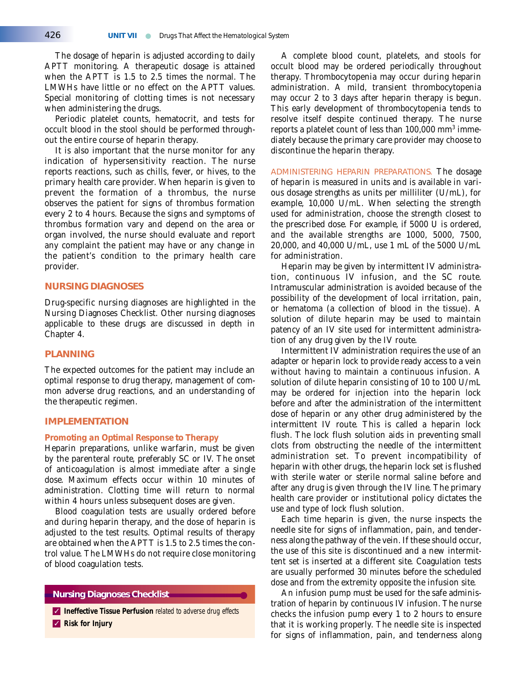The dosage of heparin is adjusted according to daily APTT monitoring. A therapeutic dosage is attained when the APTT is 1.5 to 2.5 times the normal. The LMWHs have little or no effect on the APTT values. Special monitoring of clotting times is not necessary when administering the drugs.

Periodic platelet counts, hematocrit, and tests for occult blood in the stool should be performed throughout the entire course of heparin therapy.

It is also important that the nurse monitor for any indication of hypersensitivity reaction. The nurse reports reactions, such as chills, fever, or hives, to the primary health care provider. When heparin is given to prevent the formation of a thrombus, the nurse observes the patient for signs of thrombus formation every 2 to 4 hours. Because the signs and symptoms of thrombus formation vary and depend on the area or organ involved, the nurse should evaluate and report any complaint the patient may have or any change in the patient's condition to the primary health care provider.

#### **NURSING DIAGNOSES**

Drug-specific nursing diagnoses are highlighted in the Nursing Diagnoses Checklist. Other nursing diagnoses applicable to these drugs are discussed in depth in Chapter 4.

#### **PLANNING**

The expected outcomes for the patient may include an optimal response to drug therapy, management of common adverse drug reactions, and an understanding of the therapeutic regimen.

#### **IMPLEMENTATION**

#### *Promoting an Optimal Response to Therapy*

Heparin preparations, unlike warfarin, must be given by the parenteral route, preferably SC or IV. The onset of anticoagulation is almost immediate after a single dose. Maximum effects occur within 10 minutes of administration. Clotting time will return to normal within 4 hours unless subsequent doses are given.

Blood coagulation tests are usually ordered before and during heparin therapy, and the dose of heparin is adjusted to the test results. Optimal results of therapy are obtained when the APTT is 1.5 to 2.5 times the control value. The LMWHs do not require close monitoring of blood coagulation tests.

#### **Nursing Diagnoses Checklist**

✓ **Ineffective Tissue Perfusion** related to adverse drug effects ✓ **Risk for Injury**

A complete blood count, platelets, and stools for occult blood may be ordered periodically throughout therapy. Thrombocytopenia may occur during heparin administration. A mild, transient thrombocytopenia may occur 2 to 3 days after heparin therapy is begun. This early development of thrombocytopenia tends to resolve itself despite continued therapy. The nurse reports a platelet count of less than 100,000 mm<sup>3</sup> immediately because the primary care provider may choose to discontinue the heparin therapy.

ADMINISTERING HEPARIN PREPARATIONS. The dosage of heparin is measured in units and is available in various dosage strengths as units per milliliter (U/mL), for example, 10,000 U/mL. When selecting the strength used for administration, choose the strength closest to the prescribed dose. For example, if 5000 U is ordered, and the available strengths are 1000, 5000, 7500, 20,000, and 40,000 U/mL, use 1 mL of the 5000 U/mL for administration.

Heparin may be given by intermittent IV administration, continuous IV infusion, and the SC route. Intramuscular administration is avoided because of the possibility of the development of local irritation, pain, or hematoma (a collection of blood in the tissue). A solution of dilute heparin may be used to maintain patency of an IV site used for intermittent administration of any drug given by the IV route.

Intermittent IV administration requires the use of an adapter or heparin lock to provide ready access to a vein without having to maintain a continuous infusion. A solution of dilute heparin consisting of 10 to 100 U/mL may be ordered for injection into the heparin lock before and after the administration of the intermittent dose of heparin or any other drug administered by the intermittent IV route. This is called a heparin lock flush. The lock flush solution aids in preventing small clots from obstructing the needle of the intermittent administration set. To prevent incompatibility of heparin with other drugs, the heparin lock set is flushed with sterile water or sterile normal saline before and after any drug is given through the IV line. The primary health care provider or institutional policy dictates the use and type of lock flush solution.

Each time heparin is given, the nurse inspects the needle site for signs of inflammation, pain, and tenderness along the pathway of the vein. If these should occur, the use of this site is discontinued and a new intermittent set is inserted at a different site. Coagulation tests are usually performed 30 minutes before the scheduled dose and from the extremity opposite the infusion site.

An infusion pump must be used for the safe administration of heparin by continuous IV infusion. The nurse checks the infusion pump every 1 to 2 hours to ensure that it is working properly. The needle site is inspected for signs of inflammation, pain, and tenderness along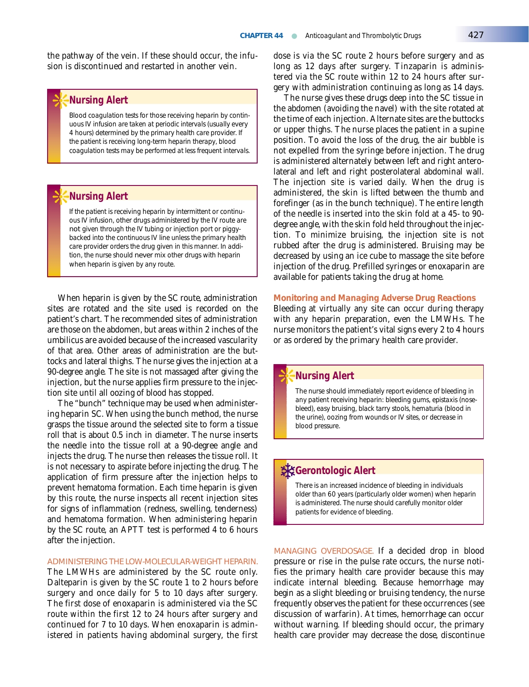the pathway of the vein. If these should occur, the infusion is discontinued and restarted in another vein.

#### ❊**Nursing Alert**

*Blood coagulation tests for those receiving heparin by continuous IV infusion are taken at periodic intervals (usually every 4 hours) determined by the primary health care provider. If the patient is receiving long-term heparin therapy, blood coagulation tests may be performed at less frequent intervals.* 

#### ❊**Nursing Alert**

*If the patient is receiving heparin by intermittent or continuous IV infusion, other drugs administered by the IV route are* not *given through the IV tubing or injection port or piggybacked into the continuous IV line unless the primary health care provider orders the drug given in this manner. In addition, the nurse should* never *mix other drugs with heparin when heparin is given by any route.* 

When heparin is given by the SC route, administration sites are rotated and the site used is recorded on the patient's chart. The recommended sites of administration are those on the abdomen, but areas within 2 inches of the umbilicus are avoided because of the increased vascularity of that area. Other areas of administration are the buttocks and lateral thighs. The nurse gives the injection at a 90-degree angle. The site is not massaged after giving the injection, but the nurse applies firm pressure to the injection site until all oozing of blood has stopped.

The "bunch" technique may be used when administering heparin SC. When using the bunch method, the nurse grasps the tissue around the selected site to form a tissue roll that is about 0.5 inch in diameter. The nurse inserts the needle into the tissue roll at a 90-degree angle and injects the drug. The nurse then releases the tissue roll. It is not necessary to aspirate before injecting the drug. The application of firm pressure after the injection helps to prevent hematoma formation. Each time heparin is given by this route, the nurse inspects all recent injection sites for signs of inflammation (redness, swelling, tenderness) and hematoma formation. When administering heparin by the SC route, an APTT test is performed 4 to 6 hours after the injection.

#### ADMINISTERING THE LOW-MOLECULAR-WEIGHT HEPARIN.

The LMWHs are administered by the SC route only. Dalteparin is given by the SC route 1 to 2 hours before surgery and once daily for 5 to 10 days after surgery. The first dose of enoxaparin is administered via the SC route within the first 12 to 24 hours after surgery and continued for 7 to 10 days. When enoxaparin is administered in patients having abdominal surgery, the first

dose is via the SC route 2 hours before surgery and as long as 12 days after surgery. Tinzaparin is administered via the SC route within 12 to 24 hours after surgery with administration continuing as long as 14 days.

The nurse gives these drugs deep into the SC tissue in the abdomen (avoiding the navel) with the site rotated at the time of each injection. Alternate sites are the buttocks or upper thighs. The nurse places the patient in a supine position. To avoid the loss of the drug, the air bubble is not expelled from the syringe before injection. The drug is administered alternately between left and right anterolateral and left and right posterolateral abdominal wall. The injection site is varied daily. When the drug is administered, the skin is lifted between the thumb and forefinger (as in the bunch technique). The entire length of the needle is inserted into the skin fold at a 45- to 90 degree angle, with the skin fold held throughout the injection. To minimize bruising, the injection site is not rubbed after the drug is administered. Bruising may be decreased by using an ice cube to massage the site before injection of the drug. Prefilled syringes or enoxaparin are available for patients taking the drug at home.

#### *Monitoring and Managing Adverse Drug Reactions*

Bleeding at virtually any site can occur during therapy with any heparin preparation, even the LMWHs. The nurse monitors the patient's vital signs every 2 to 4 hours or as ordered by the primary health care provider.

#### ❊**Nursing Alert**

*The nurse should immediately report evidence of bleeding in any patient receiving heparin: bleeding gums, epistaxis (nosebleed), easy bruising, black tarry stools, hematuria (blood in the urine), oozing from wounds or IV sites, or decrease in blood pressure.* 

## ❄**Gerontologic Alert**

*There is an increased incidence of bleeding in individuals older than 60 years (particularly older women) when heparin is administered. The nurse should carefully monitor older patients for evidence of bleeding.* 

MANAGING OVERDOSAGE. If a decided drop in blood pressure or rise in the pulse rate occurs, the nurse notifies the primary health care provider because this may indicate internal bleeding. Because hemorrhage may begin as a slight bleeding or bruising tendency, the nurse frequently observes the patient for these occurrences (see discussion of warfarin). At times, hemorrhage can occur without warning. If bleeding should occur, the primary health care provider may decrease the dose, discontinue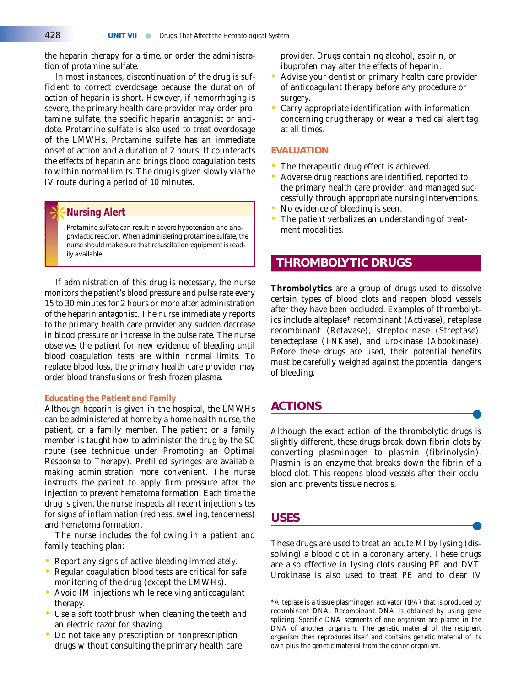the heparin therapy for a time, or order the administration of protamine sulfate.

In most instances, discontinuation of the drug is sufficient to correct overdosage because the duration of action of heparin is short. However, if hemorrhaging is severe, the primary health care provider may order protamine sulfate, the specific heparin antagonist or antidote. Protamine sulfate is also used to treat overdosage of the LMWHs. Protamine sulfate has an immediate onset of action and a duration of 2 hours. It counteracts the effects of heparin and brings blood coagulation tests to within normal limits. The drug is given slowly via the IV route during a period of 10 minutes.

#### ❊**Nursing Alert**

*Protamine sulfate can result in severe hypotension and anaphylactic reaction. When administering protamine sulfate, the nurse should make sure that resuscitation equipment is readily available.* 

If administration of this drug is necessary, the nurse monitors the patient's blood pressure and pulse rate every 15 to 30 minutes for 2 hours or more after administration of the heparin antagonist. The nurse immediately reports to the primary health care provider any sudden decrease in blood pressure or increase in the pulse rate. The nurse observes the patient for new evidence of bleeding until blood coagulation tests are within normal limits. To replace blood loss, the primary health care provider may order blood transfusions or fresh frozen plasma.

#### *Educating the Patient and Family*

Although heparin is given in the hospital, the LMWHs can be administered at home by a home health nurse, the patient, or a family member. The patient or a family member is taught how to administer the drug by the SC route (see technique under Promoting an Optimal Response to Therapy). Prefilled syringes are available, making administration more convenient. The nurse instructs the patient to apply firm pressure after the injection to prevent hematoma formation. Each time the drug is given, the nurse inspects all recent injection sites for signs of inflammation (redness, swelling, tenderness) and hematoma formation.

The nurse includes the following in a patient and family teaching plan:

- Report any signs of active bleeding immediately.
- Regular coagulation blood tests are critical for safe monitoring of the drug (except the LMWHs).
- Avoid IM injections while receiving anticoagulant therapy.
- Use a soft toothbrush when cleaning the teeth and an electric razor for shaving.
- Do not take any prescription or nonprescription drugs without consulting the primary health care

provider. Drugs containing alcohol, aspirin, or ibuprofen may alter the effects of heparin.

- Advise your dentist or primary health care provider of anticoagulant therapy before any procedure or surgery.
- Carry appropriate identification with information concerning drug therapy or wear a medical alert tag at all times.

#### **EVALUATION**

- The therapeutic drug effect is achieved.
- Adverse drug reactions are identified, reported to the primary health care provider, and managed successfully through appropriate nursing interventions.
- No evidence of bleeding is seen.
- The patient verbalizes an understanding of treatment modalities.

## **THROMBOLYTIC DRUGS**

**Thrombolytics** are a group of drugs used to dissolve certain types of blood clots and reopen blood vessels after they have been occluded. Examples of thrombolytics include alteplase\* recombinant (Activase), reteplase recombinant (Retavase), streptokinase (Streptase), tenecteplase (TNKase), and urokinase (Abbokinase). Before these drugs are used, their potential benefits must be carefully weighed against the potential dangers of bleeding.

## **ACTIONS** ●

Although the exact action of the thrombolytic drugs is slightly different, these drugs break down fibrin clots by converting plasminogen to plasmin (fibrinolysin). Plasmin is an enzyme that breaks down the fibrin of a blood clot. This reopens blood vessels after their occlusion and prevents tissue necrosis.

# **USES** ●

These drugs are used to treat an acute MI by lysing (dissolving) a blood clot in a coronary artery. These drugs are also effective in lysing clots causing PE and DVT. Urokinase is also used to treat PE and to clear IV

<sup>\*</sup>Alteplase is a tissue plasminogen activator (tPA) that is produced by recombinant DNA. Recombinant DNA is obtained by using gene splicing. Specific DNA segments of one organism are placed in the DNA of another organism. The genetic material of the recipient organism then reproduces itself and contains genetic material of its own plus the genetic material from the donor organism.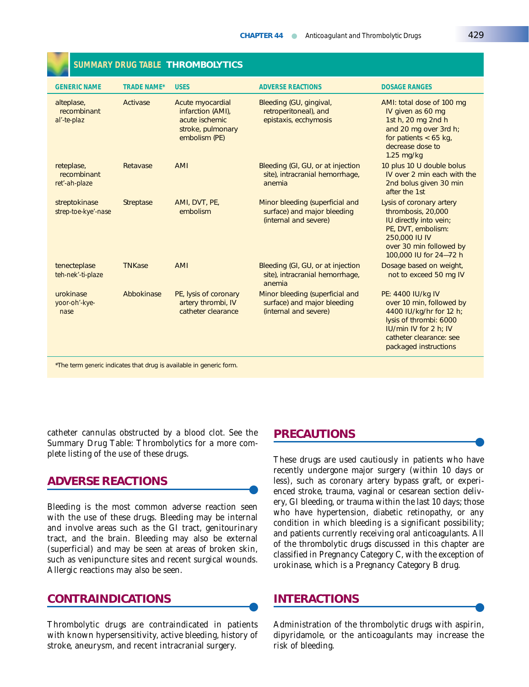| SUMMARY DRUG TABLE THROMBOLYTICS |  |  |  |
|----------------------------------|--|--|--|
|                                  |  |  |  |

| <b>GENERIC NAME</b>                                                 | <b>TRADE NAME*</b> | <b>USES</b>                                                                                   | <b>ADVERSE REACTIONS</b>                                                                | <b>DOSAGE RANGES</b>                                                                                                                                                            |
|---------------------------------------------------------------------|--------------------|-----------------------------------------------------------------------------------------------|-----------------------------------------------------------------------------------------|---------------------------------------------------------------------------------------------------------------------------------------------------------------------------------|
| alteplase,<br>recombinant<br>al'-te-plaz                            | Activase           | Acute myocardial<br>infarction (AMI),<br>acute ischemic<br>stroke, pulmonary<br>embolism (PE) | Bleeding (GU, gingival,<br>retroperitoneal), and<br>epistaxis, ecchymosis               | AMI: total dose of 100 mg<br>IV given as 60 mg<br>1st h, 20 mg 2nd h<br>and 20 mg over 3rd h;<br>for patients $<$ 65 kg,<br>decrease dose to<br>$1.25$ mg/kg                    |
| reteplase,<br>recombinant<br>ret'-ah-plaze                          | Retavase           | <b>AMI</b>                                                                                    | Bleeding (GI, GU, or at injection<br>site), intracranial hemorrhage,<br>anemia          | 10 plus 10 U double bolus<br>IV over 2 min each with the<br>2nd bolus given 30 min<br>after the 1st                                                                             |
| streptokinase<br>strep-toe-kye'-nase                                | <b>Streptase</b>   | AMI, DVT, PE,<br>embolism                                                                     | Minor bleeding (superficial and<br>surface) and major bleeding<br>(internal and severe) | Lysis of coronary artery<br>thrombosis, 20,000<br>IU directly into vein;<br>PE, DVT, embolism:<br>250,000 IU IV<br>over 30 min followed by<br>100,000 IU for 24-72 h            |
| tenecteplase<br>teh-nek'-ti-plaze                                   | <b>TNKase</b>      | <b>AMI</b>                                                                                    | Bleeding (GI, GU, or at injection<br>site), intracranial hemorrhage,<br>anemia          | Dosage based on weight,<br>not to exceed 50 mg IV                                                                                                                               |
| urokinase<br>yoor-oh'-kye-<br>nase                                  | Abbokinase         | PE, lysis of coronary<br>artery thrombi, IV<br>catheter clearance                             | Minor bleeding (superficial and<br>surface) and major bleeding<br>(internal and severe) | PE: 4400 IU/kg IV<br>over 10 min, followed by<br>4400 IU/kg/hr for 12 h;<br>lysis of thrombi: 6000<br>IU/min IV for 2 h: IV<br>catheter clearance: see<br>packaged instructions |
| *The term generic indicates that drug is available in generic form. |                    |                                                                                               |                                                                                         |                                                                                                                                                                                 |

catheter cannulas obstructed by a blood clot. See the Summary Drug Table: Thrombolytics for a more complete listing of the use of these drugs.

## **ADVERSE REACTIONS** ●

Bleeding is the most common adverse reaction seen with the use of these drugs. Bleeding may be internal and involve areas such as the GI tract, genitourinary tract, and the brain. Bleeding may also be external (superficial) and may be seen at areas of broken skin, such as venipuncture sites and recent surgical wounds. Allergic reactions may also be seen.

## **CONTRAINDICATIONS** ●

Thrombolytic drugs are contraindicated in patients with known hypersensitivity, active bleeding, history of stroke, aneurysm, and recent intracranial surgery.

## **PRECAUTIONS**

These drugs are used cautiously in patients who have recently undergone major surgery (within 10 days or less), such as coronary artery bypass graft, or experienced stroke, trauma, vaginal or cesarean section delivery, GI bleeding, or trauma within the last 10 days; those who have hypertension, diabetic retinopathy, or any condition in which bleeding is a significant possibility; and patients currently receiving oral anticoagulants. All of the thrombolytic drugs discussed in this chapter are classified in Pregnancy Category C, with the exception of urokinase, which is a Pregnancy Category B drug.

## **INTERACTIONS**

Administration of the thrombolytic drugs with aspirin, dipyridamole, or the anticoagulants may increase the risk of bleeding.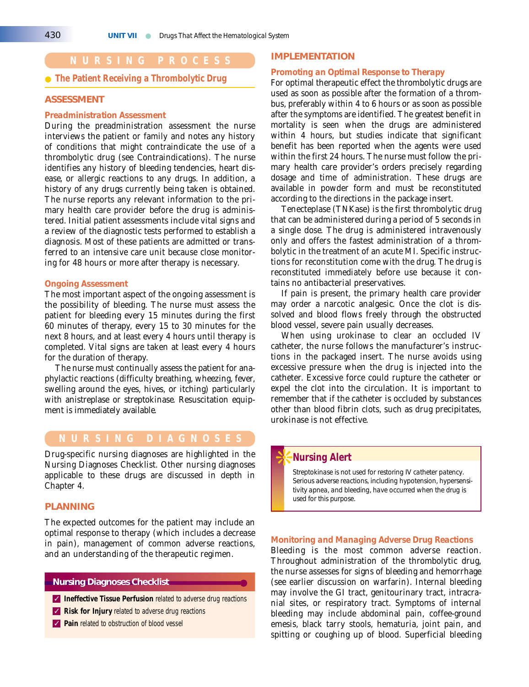## **NURSING PROCESS IMPLEMENTATION**

● **The Patient Receiving a Thrombolytic Drug**

#### **ASSESSMENT**

#### *Preadministration Assessment*

During the preadministration assessment the nurse interviews the patient or family and notes any history of conditions that might contraindicate the use of a thrombolytic drug (see Contraindications). The nurse identifies any history of bleeding tendencies, heart disease, or allergic reactions to any drugs. In addition, a history of any drugs currently being taken is obtained. The nurse reports any relevant information to the primary health care provider before the drug is administered. Initial patient assessments include vital signs and a review of the diagnostic tests performed to establish a diagnosis. Most of these patients are admitted or transferred to an intensive care unit because close monitoring for 48 hours or more after therapy is necessary.

#### *Ongoing Assessment*

The most important aspect of the ongoing assessment is the possibility of bleeding. The nurse must assess the patient for bleeding every 15 minutes during the first 60 minutes of therapy, every 15 to 30 minutes for the next 8 hours, and at least every 4 hours until therapy is completed. Vital signs are taken at least every 4 hours for the duration of therapy.

The nurse must continually assess the patient for anaphylactic reactions (difficulty breathing, wheezing, fever, swelling around the eyes, hives, or itching) particularly with anistreplase or streptokinase. Resuscitation equipment is immediately available.

Drug-specific nursing diagnoses are highlighted in the Nursing Diagnoses Checklist. Other nursing diagnoses applicable to these drugs are discussed in depth in Chapter 4.

#### **PLANNING**

The expected outcomes for the patient may include an optimal response to therapy (which includes a decrease in pain), management of common adverse reactions, and an understanding of the therapeutic regimen.

### **Nursing Diagnoses Checklist**

- ✓ **Ineffective Tissue Perfusion** related to adverse drug reactions
- ✓ **Risk for Injury** related to adverse drug reactions
- ✓ **Pain** related to obstruction of blood vessel

#### *Promoting an Optimal Response to Therapy*

For optimal therapeutic effect the thrombolytic drugs are used as soon as possible after the formation of a thrombus, preferably within 4 to 6 hours or as soon as possible after the symptoms are identified. The greatest benefit in mortality is seen when the drugs are administered within 4 hours, but studies indicate that significant benefit has been reported when the agents were used within the first 24 hours. The nurse must follow the primary health care provider's orders precisely regarding dosage and time of administration. These drugs are available in powder form and must be reconstituted according to the directions in the package insert.

Tenecteplase (TNKase) is the first thrombolytic drug that can be administered during a period of 5 seconds in a single dose. The drug is administered intravenously only and offers the fastest administration of a thrombolytic in the treatment of an acute MI. Specific instructions for reconstitution come with the drug. The drug is reconstituted immediately before use because it contains no antibacterial preservatives.

If pain is present, the primary health care provider may order a narcotic analgesic. Once the clot is dissolved and blood flows freely through the obstructed blood vessel, severe pain usually decreases.

When using urokinase to clear an occluded IV catheter, the nurse follows the manufacturer's instructions in the packaged insert. The nurse avoids using excessive pressure when the drug is injected into the catheter. Excessive force could rupture the catheter or expel the clot into the circulation. It is important to remember that if the catheter is occluded by substances other than blood fibrin clots, such as drug precipitates, urokinase is not effective.

#### ❊**Nursing Alert**

*Streptokinase is not used for restoring IV catheter patency. Serious adverse reactions, including hypotension, hypersensitivity apnea, and bleeding, have occurred when the drug is used for this purpose.*

#### *Monitoring and Managing Adverse Drug Reactions*

Bleeding is the most common adverse reaction. Throughout administration of the thrombolytic drug, the nurse assesses for signs of bleeding and hemorrhage (see earlier discussion on warfarin). Internal bleeding may involve the GI tract, genitourinary tract, intracranial sites, or respiratory tract. Symptoms of internal bleeding may include abdominal pain, coffee-ground emesis, black tarry stools, hematuria, joint pain, and spitting or coughing up of blood. Superficial bleeding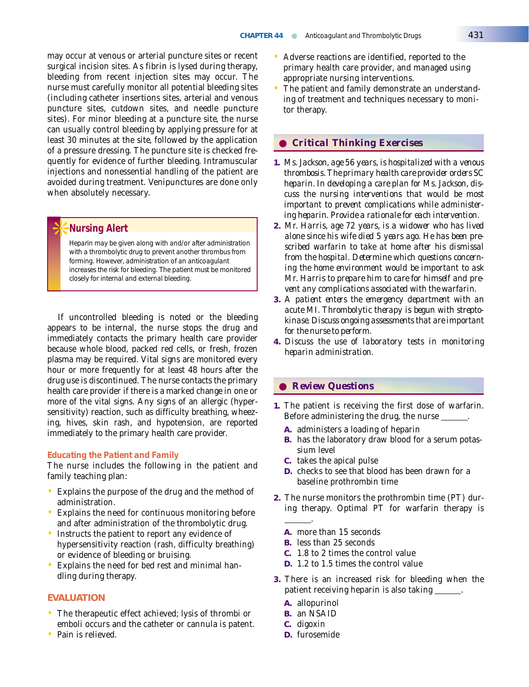may occur at venous or arterial puncture sites or recent surgical incision sites. As fibrin is lysed during therapy, bleeding from recent injection sites may occur. The nurse must carefully monitor all potential bleeding sites (including catheter insertions sites, arterial and venous puncture sites, cutdown sites, and needle puncture sites). For minor bleeding at a puncture site, the nurse can usually control bleeding by applying pressure for at least 30 minutes at the site, followed by the application of a pressure dressing. The puncture site is checked frequently for evidence of further bleeding. Intramuscular injections and nonessential handling of the patient are avoided during treatment. Venipunctures are done only when absolutely necessary.

#### ❊**Nursing Alert**

*Heparin may be given along with and/or after administration with a thrombolytic drug to prevent another thrombus from forming. However, administration of an anticoagulant increases the risk for bleeding. The patient must be monitored closely for internal and external bleeding.* 

If uncontrolled bleeding is noted or the bleeding appears to be internal, the nurse stops the drug and immediately contacts the primary health care provider because whole blood, packed red cells, or fresh, frozen plasma may be required. Vital signs are monitored every hour or more frequently for at least 48 hours after the drug use is discontinued. The nurse contacts the primary health care provider if there is a marked change in one or more of the vital signs. Any signs of an allergic (hypersensitivity) reaction, such as difficulty breathing, wheezing, hives, skin rash, and hypotension, are reported immediately to the primary health care provider.

#### *Educating the Patient and Family*

The nurse includes the following in the patient and family teaching plan:

- Explains the purpose of the drug and the method of administration.
- Explains the need for continuous monitoring before and after administration of the thrombolytic drug.
- Instructs the patient to report any evidence of hypersensitivity reaction (rash, difficulty breathing) or evidence of bleeding or bruising.
- Explains the need for bed rest and minimal handling during therapy.

#### **EVALUATION**

- The therapeutic effect achieved; lysis of thrombi or emboli occurs and the catheter or cannula is patent.
- Pain is relieved.
- Adverse reactions are identified, reported to the primary health care provider, and managed using appropriate nursing interventions.
- The patient and family demonstrate an understanding of treatment and techniques necessary to monitor therapy.

### ● *Critical Thinking Exercises*

- **1.** *Ms. Jackson, age 56 years, is hospitalized with a venous thrombosis. The primary health care provider orders SC heparin. In developing a care plan for Ms. Jackson, discuss the nursing interventions that would be most important to prevent complications while administering heparin. Provide a rationale for each intervention.*
- **2.** *Mr. Harris, age 72 years, is a widower who has lived alone since his wife died 5 years ago. He has been prescribed warfarin to take at home after his dismissal from the hospital. Determine which questions concerning the home environment would be important to ask Mr. Harris to prepare him to care for himself and prevent any complications associated with the warfarin.*
- **3.** *A patient enters the emergency department with an acute MI. Thrombolytic therapy is begun with streptokinase. Discuss ongoing assessments that are important for the nurse to perform.*
- **4.** *Discuss the use of laboratory tests in monitoring heparin administration.*

#### ● *Review Questions*

- **1.** The patient is receiving the first dose of warfarin. Before administering the drug, the nurse .
	- **A.** administers a loading of heparin
	- **B.** has the laboratory draw blood for a serum potassium level
	- **C.** takes the apical pulse
	- **D.** checks to see that blood has been drawn for a baseline prothrombin time
- **2.** The nurse monitors the prothrombin time (PT) during therapy. Optimal PT for warfarin therapy is
	- **A.** more than 15 seconds
	- **B.** less than 25 seconds
	- **C.** 1.8 to 2 times the control value
	- **D.** 1.2 to 1.5 times the control value
- **3.** There is an increased risk for bleeding when the patient receiving heparin is also taking \_\_\_\_\_\_.
	- **A.** allopurinol

.

- **B.** an NSAID
- **C.** digoxin
- **D.** furosemide